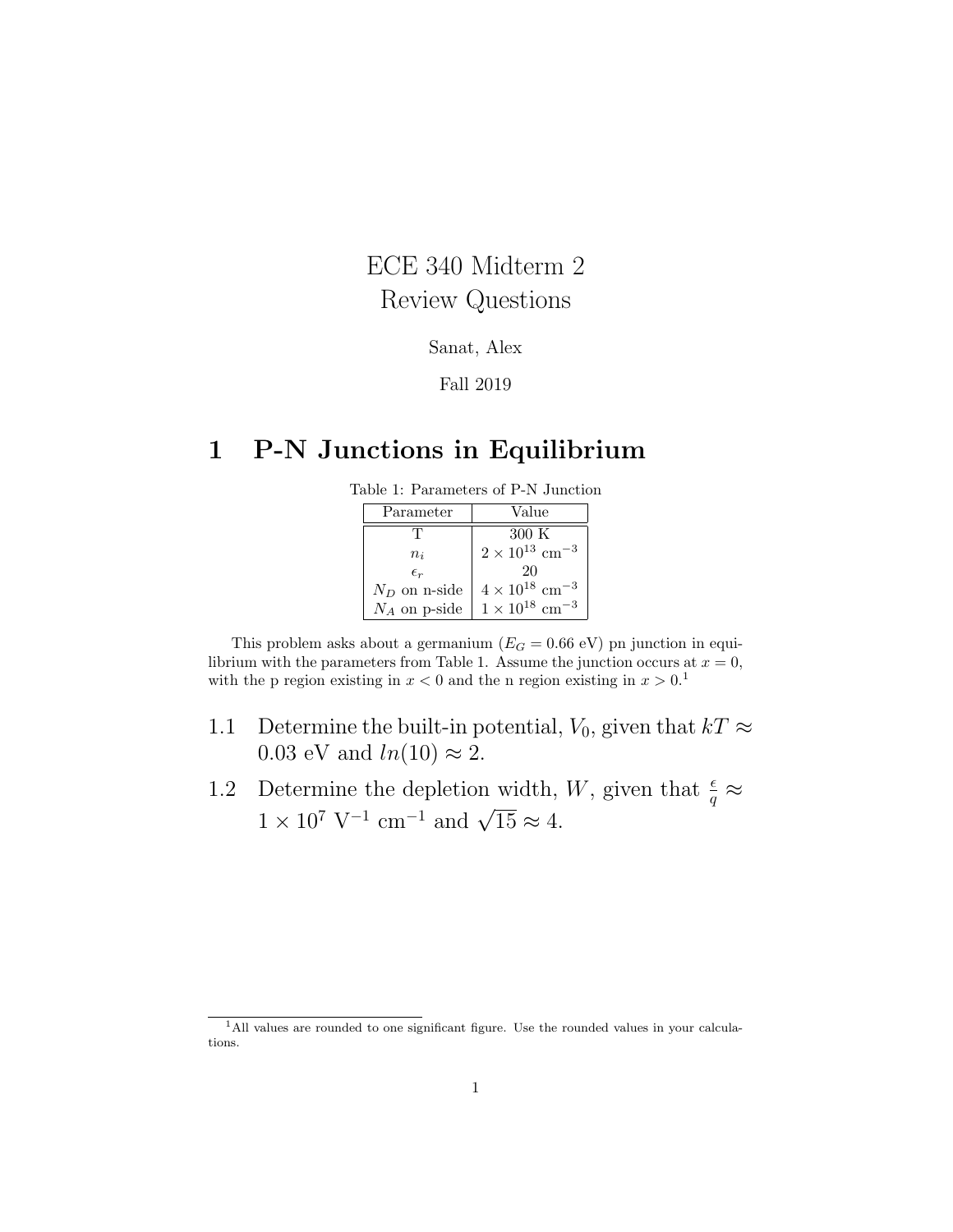# ECE 340 Midterm 2 Review Questions

#### Sanat, Alex

#### Fall 2019

# 1 P-N Junctions in Equilibrium

| Parameter       | Value                               |
|-----------------|-------------------------------------|
| Τ               | 300 K                               |
| $n_i$           | $2 \times 10^{13}$ cm <sup>-3</sup> |
| $\epsilon_r$    | 20                                  |
| $N_D$ on n-side | $4 \times 10^{18}$ cm <sup>-3</sup> |
| $N_A$ on p-side | $1 \times 10^{18}$ cm <sup>-3</sup> |

This problem asks about a germanium ( $E_G = 0.66$  eV) pn junction in equilibrium with the parameters from Table 1. Assume the junction occurs at  $x = 0$ , with the p region existing in  $x < 0$  and the n region existing in  $x > 0.1$ 

- 1.1 Determine the built-in potential,  $V_0$ , given that  $kT \approx$ 0.03 eV and  $ln(10) \approx 2$ .
- 1.2 Determine the depletion width, W, given that  $\frac{\epsilon}{q} \approx$  $1 \times 10^7$  V<sup>-1</sup> cm<sup>-1</sup> and  $\sqrt{15} \approx 4$ .

<sup>&</sup>lt;sup>1</sup>All values are rounded to one significant figure. Use the rounded values in your calculations.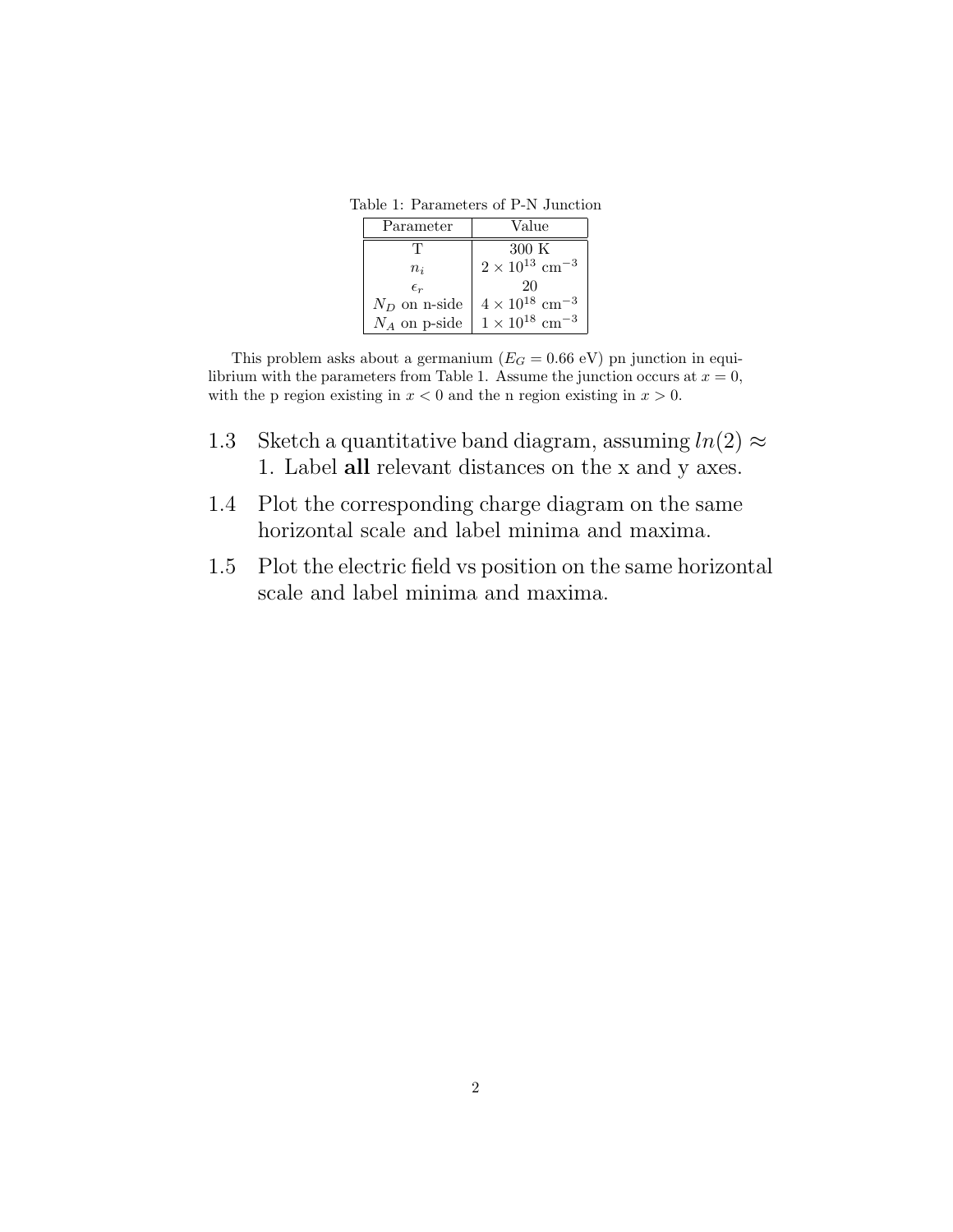Table 1: Parameters of P-N Junction

| Parameter       | Value                               |
|-----------------|-------------------------------------|
| Π,              | 300 K                               |
| $n_i$           | $2 \times 10^{13}$ cm <sup>-3</sup> |
| $\epsilon_{r}$  | 20                                  |
| $N_D$ on n-side | $4 \times 10^{18}$ cm <sup>-3</sup> |
| $N_A$ on p-side | $1\times10^{18}~\rm{cm^{-3}}$       |

This problem asks about a germanium ( $E_G = 0.66$  eV) pn junction in equilibrium with the parameters from Table 1. Assume the junction occurs at  $x = 0$ , with the p region existing in  $x < 0$  and the n region existing in  $x > 0$ .

- 1.3 Sketch a quantitative band diagram, assuming  $ln(2) \approx$ 1. Label all relevant distances on the x and y axes.
- 1.4 Plot the corresponding charge diagram on the same horizontal scale and label minima and maxima.
- 1.5 Plot the electric field vs position on the same horizontal scale and label minima and maxima.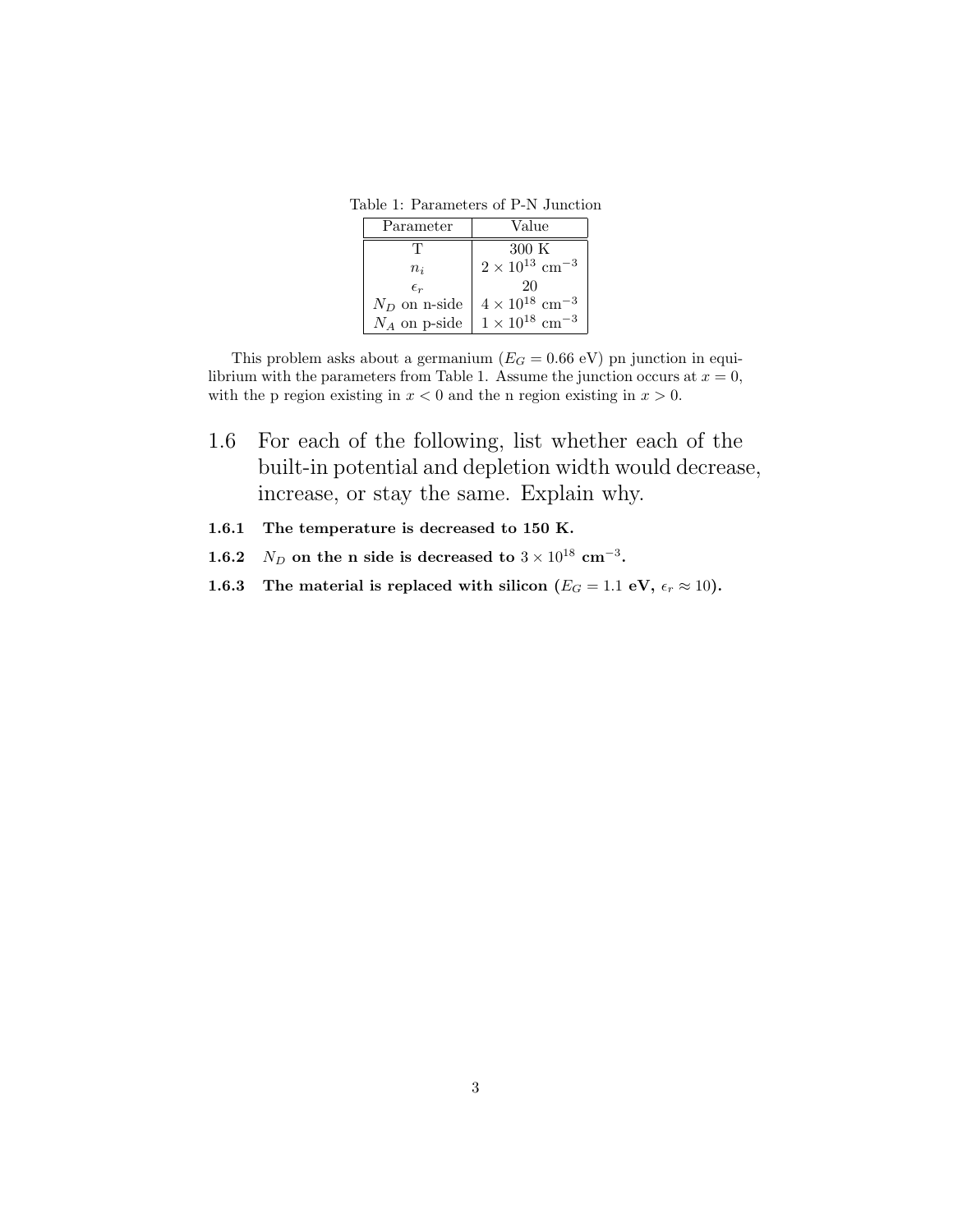Table 1: Parameters of P-N Junction

| Parameter       | Value                               |
|-----------------|-------------------------------------|
| Π,              | 300 K                               |
| $n_i$           | $2 \times 10^{13}$ cm <sup>-3</sup> |
| $\epsilon_r$    | 20                                  |
| $N_D$ on n-side | $4 \times 10^{18}$ cm <sup>-3</sup> |
| $N_A$ on p-side | $1 \times 10^{18}$ cm <sup>-3</sup> |

This problem asks about a germanium ( $E_G = 0.66$  eV) pn junction in equilibrium with the parameters from Table 1. Assume the junction occurs at  $x = 0$ , with the p region existing in  $x < 0$  and the n region existing in  $x > 0$ .

- 1.6 For each of the following, list whether each of the built-in potential and depletion width would decrease, increase, or stay the same. Explain why.
- 1.6.1 The temperature is decreased to 150 K.
- 1.6.2  $N_D$  on the n side is decreased to  $3 \times 10^{18}$  cm<sup>-3</sup>.
- 1.6.3 The material is replaced with silicon  $(E_G = 1.1 \text{ eV}, \epsilon_r \approx 10)$ .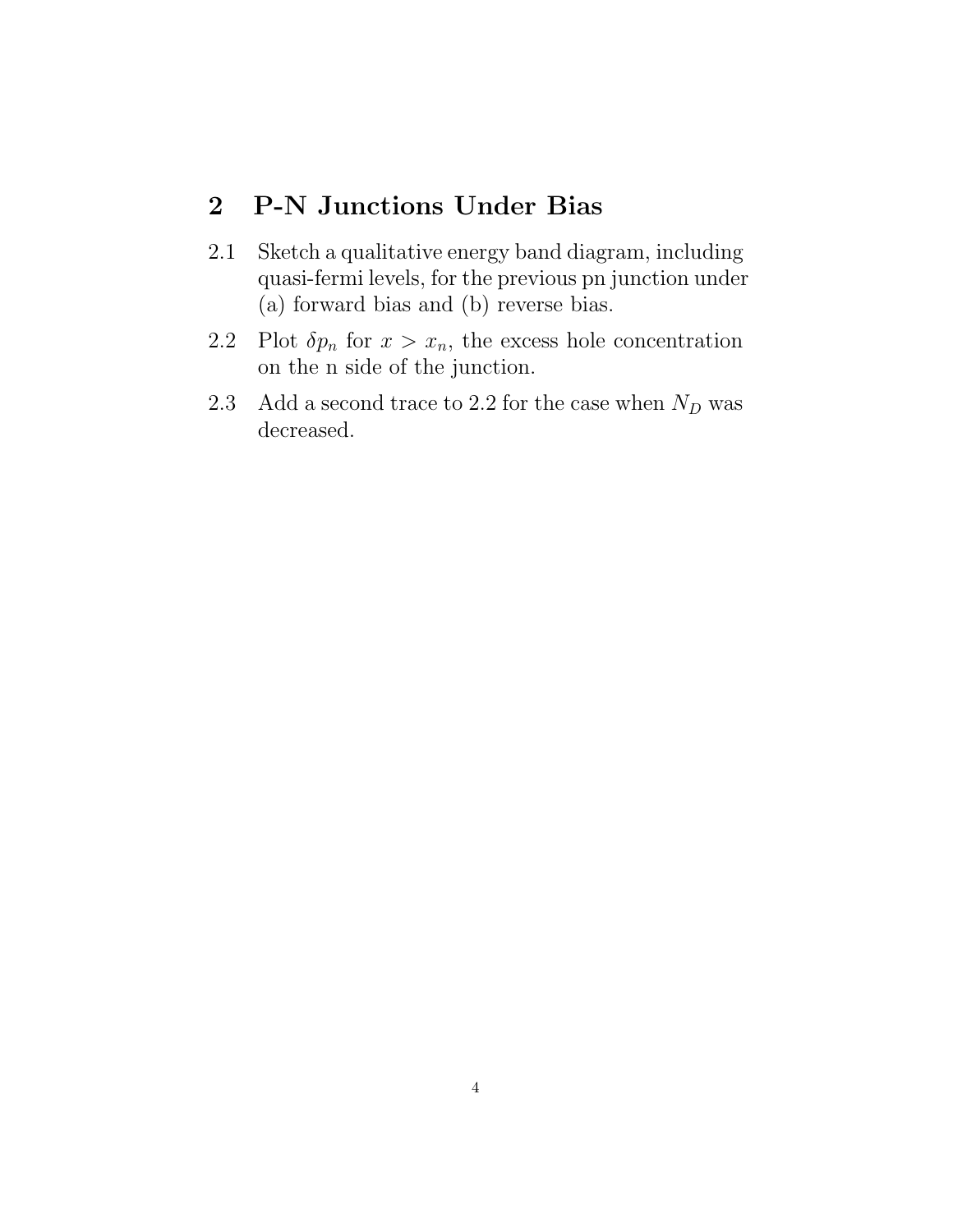#### 2 P-N Junctions Under Bias

- 2.1 Sketch a qualitative energy band diagram, including quasi-fermi levels, for the previous pn junction under (a) forward bias and (b) reverse bias.
- 2.2 Plot  $\delta p_n$  for  $x > x_n$ , the excess hole concentration on the n side of the junction.
- 2.3 Add a second trace to 2.2 for the case when  $N_D$  was decreased.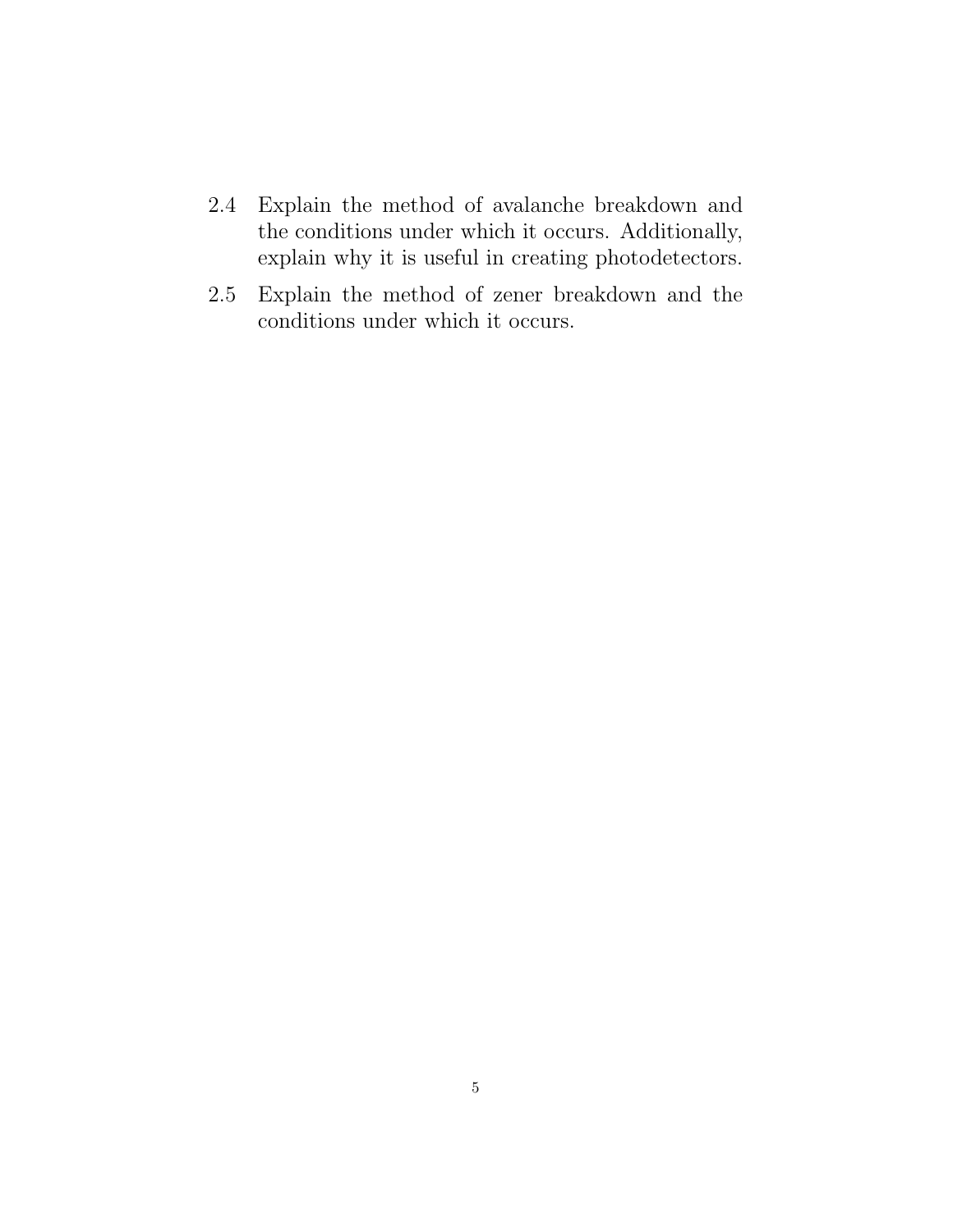- 2.4 Explain the method of avalanche breakdown and the conditions under which it occurs. Additionally, explain why it is useful in creating photodetectors.
- 2.5 Explain the method of zener breakdown and the conditions under which it occurs.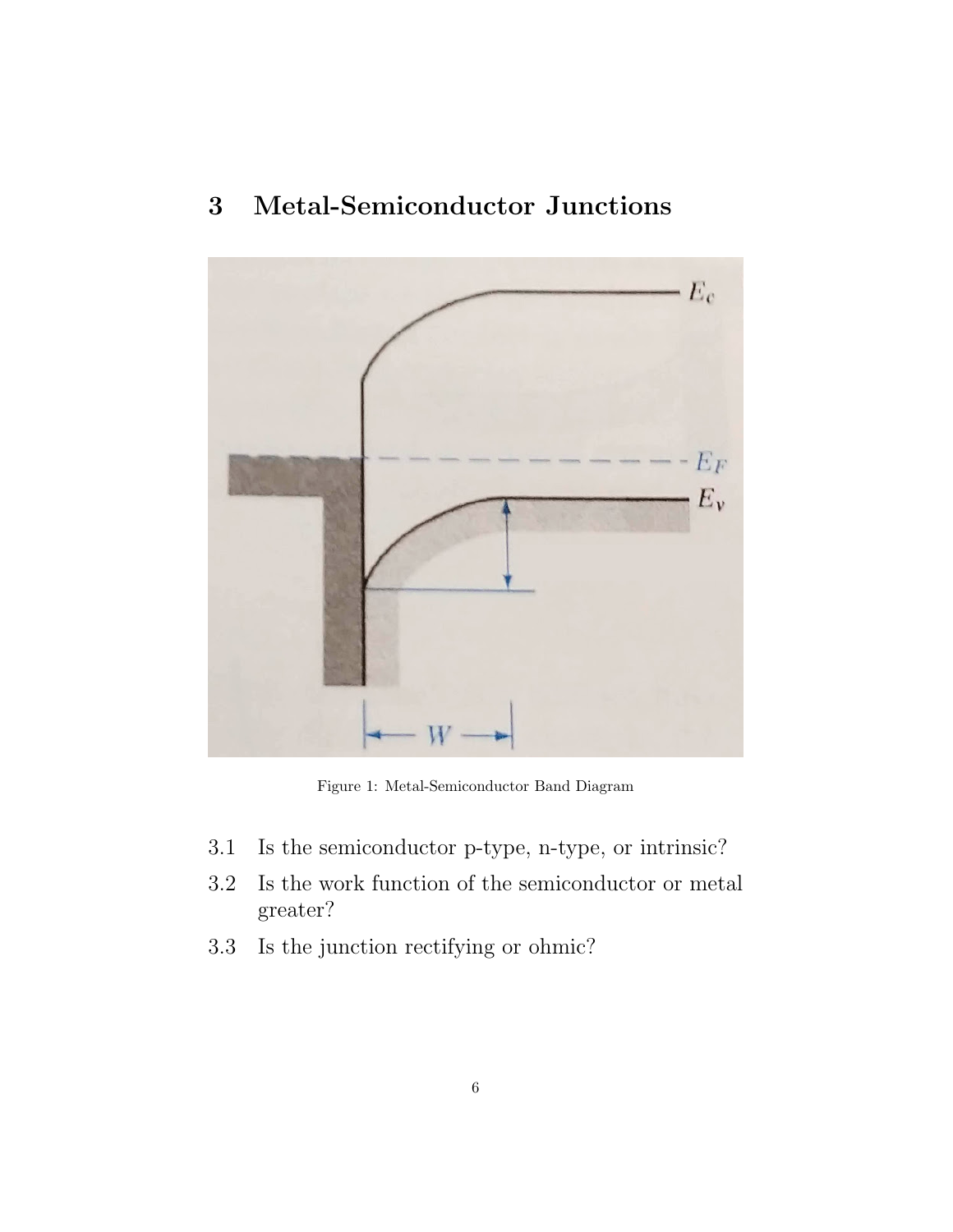

## 3 Metal-Semiconductor Junctions

Figure 1: Metal-Semiconductor Band Diagram

- 3.1 Is the semiconductor p-type, n-type, or intrinsic?
- 3.2 Is the work function of the semiconductor or metal greater?
- 3.3 Is the junction rectifying or ohmic?